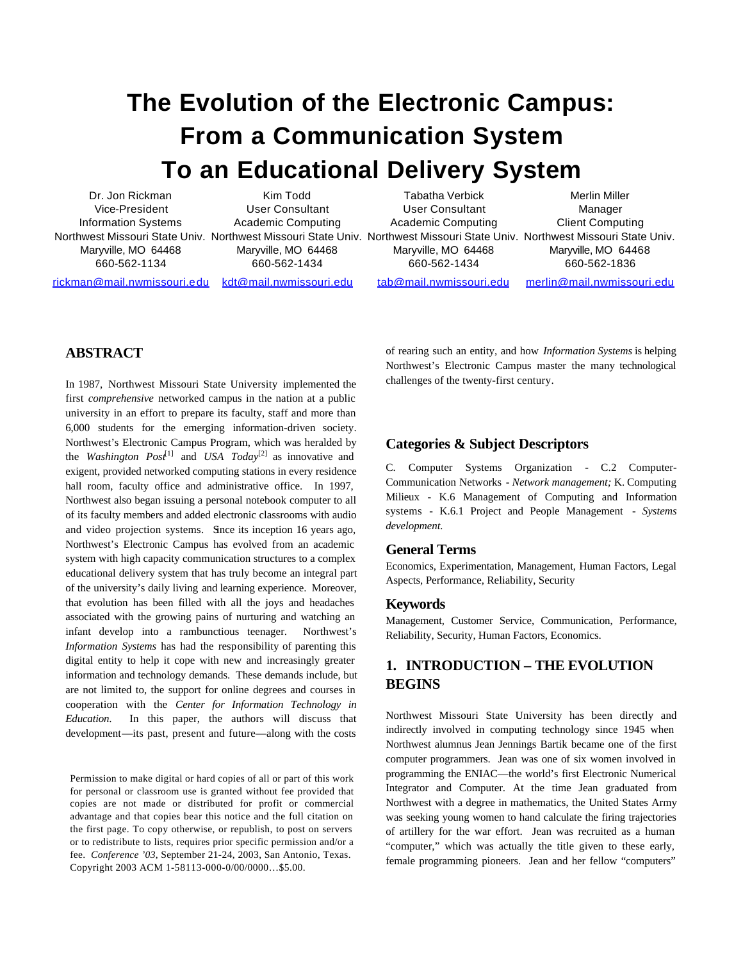# **The Evolution of the Electronic Campus: From a Communication System To an Educational Delivery System**

Dr. Jon Rickman Vice-President Information Systems Northwest Missouri State Univ. Northwest Missouri State Univ. Northwest Missouri State Univ. Northwest Missouri State Univ. Maryville, MO 64468 660-562-1134

Kim Todd User Consultant Academic Computing Maryville, MO 64468 660-562-1434

Tabatha Verbick User Consultant Academic Computing Maryville, MO 64468 660-562-1434

Merlin Miller Manager Client Computing Maryville, MO 64468 660-562-1836

rickman@mail.nwmissouri.edu kdt@mail.nwmissouri.edu

tab@mail.nwmissouri.edu

merlin@mail.nwmissouri.edu

## **ABSTRACT**

In 1987, Northwest Missouri State University implemented the first *comprehensive* networked campus in the nation at a public university in an effort to prepare its faculty, staff and more than 6,000 students for the emerging information-driven society. Northwest's Electronic Campus Program, which was heralded by the *Washington Post*<sup>[1]</sup> and *USA Today*<sup>[2]</sup> as innovative and exigent, provided networked computing stations in every residence hall room, faculty office and administrative office. In 1997, Northwest also began issuing a personal notebook computer to all of its faculty members and added electronic classrooms with audio and video projection systems. Since its inception 16 years ago, Northwest's Electronic Campus has evolved from an academic system with high capacity communication structures to a complex educational delivery system that has truly become an integral part of the university's daily living and learning experience. Moreover, that evolution has been filled with all the joys and headaches associated with the growing pains of nurturing and watching an infant develop into a rambunctious teenager. Northwest's *Information Systems* has had the responsibility of parenting this digital entity to help it cope with new and increasingly greater information and technology demands. These demands include, but are not limited to, the support for online degrees and courses in cooperation with the *Center for Information Technology in Education*. In this paper, the authors will discuss that development—its past, present and future—along with the costs

Permission to make digital or hard copies of all or part of this work for personal or classroom use is granted without fee provided that copies are not made or distributed for profit or commercial advantage and that copies bear this notice and the full citation on the first page. To copy otherwise, or republish, to post on servers or to redistribute to lists, requires prior specific permission and/or a fee. *Conference '03*, September 21-24, 2003, San Antonio, Texas. Copyright 2003 ACM 1-58113-000-0/00/0000…\$5.00.

of rearing such an entity, and how *Information Systems* is helping Northwest's Electronic Campus master the many technological challenges of the twenty-first century.

## **Categories & Subject Descriptors**

C. Computer Systems Organization - C.2 Computer-Communication Networks - *Network management;* K. Computing Milieux - K.6 Management of Computing and Information systems - K.6.1 Project and People Management - *Systems development.*

#### **General Terms**

Economics, Experimentation, Management, Human Factors, Legal Aspects, Performance, Reliability, Security

#### **Keywords**

Management, Customer Service, Communication, Performance, Reliability, Security, Human Factors, Economics.

# **1. INTRODUCTION – THE EVOLUTION BEGINS**

Northwest Missouri State University has been directly and indirectly involved in computing technology since 1945 when Northwest alumnus Jean Jennings Bartik became one of the first computer programmers. Jean was one of six women involved in programming the ENIAC—the world's first Electronic Numerical Integrator and Computer. At the time Jean graduated from Northwest with a degree in mathematics, the United States Army was seeking young women to hand calculate the firing trajectories of artillery for the war effort. Jean was recruited as a human "computer," which was actually the title given to these early, female programming pioneers. Jean and her fellow "computers"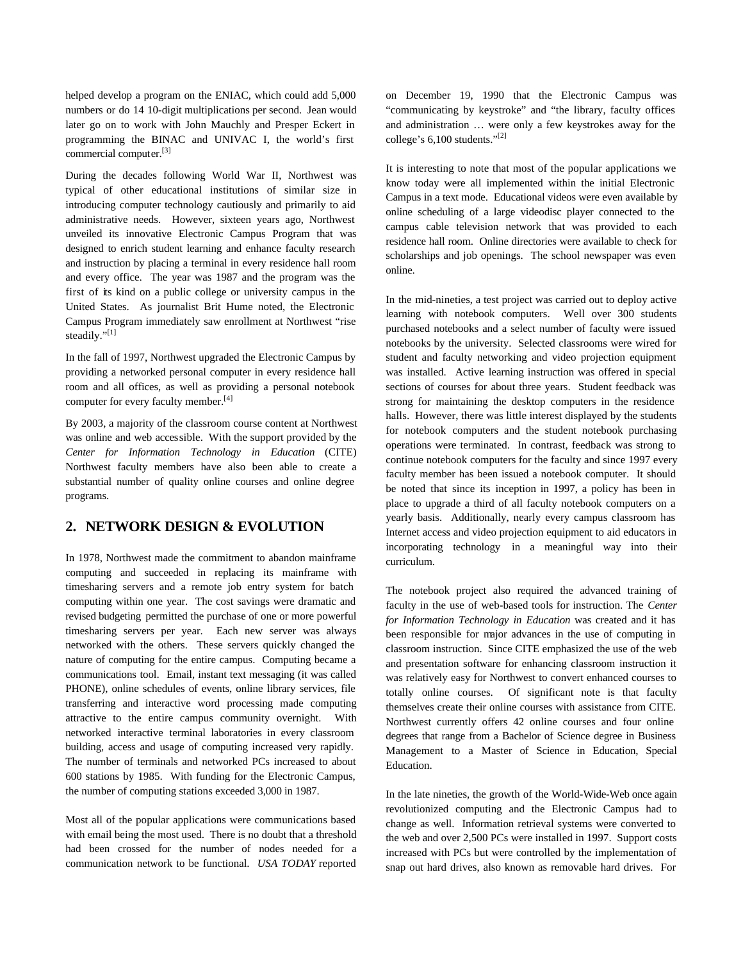helped develop a program on the ENIAC, which could add 5,000 numbers or do 14 10-digit multiplications per second. Jean would later go on to work with John Mauchly and Presper Eckert in programming the BINAC and UNIVAC I, the world's first commercial computer.[3]

During the decades following World War II, Northwest was typical of other educational institutions of similar size in introducing computer technology cautiously and primarily to aid administrative needs. However, sixteen years ago, Northwest unveiled its innovative Electronic Campus Program that was designed to enrich student learning and enhance faculty research and instruction by placing a terminal in every residence hall room and every office. The year was 1987 and the program was the first of its kind on a public college or university campus in the United States. As journalist Brit Hume noted, the Electronic Campus Program immediately saw enrollment at Northwest "rise steadily."[1]

In the fall of 1997, Northwest upgraded the Electronic Campus by providing a networked personal computer in every residence hall room and all offices, as well as providing a personal notebook computer for every faculty member.[4]

By 2003, a majority of the classroom course content at Northwest was online and web accessible. With the support provided by the *Center for Information Technology in Education* (CITE) Northwest faculty members have also been able to create a substantial number of quality online courses and online degree programs.

## **2. NETWORK DESIGN & EVOLUTION**

In 1978, Northwest made the commitment to abandon mainframe computing and succeeded in replacing its mainframe with timesharing servers and a remote job entry system for batch computing within one year. The cost savings were dramatic and revised budgeting permitted the purchase of one or more powerful timesharing servers per year. Each new server was always networked with the others. These servers quickly changed the nature of computing for the entire campus. Computing became a communications tool. Email, instant text messaging (it was called PHONE), online schedules of events, online library services, file transferring and interactive word processing made computing attractive to the entire campus community overnight. With networked interactive terminal laboratories in every classroom building, access and usage of computing increased very rapidly. The number of terminals and networked PCs increased to about 600 stations by 1985. With funding for the Electronic Campus, the number of computing stations exceeded 3,000 in 1987.

Most all of the popular applications were communications based with email being the most used. There is no doubt that a threshold had been crossed for the number of nodes needed for a communication network to be functional. *USA TODAY* reported

on December 19, 1990 that the Electronic Campus was "communicating by keystroke" and "the library, faculty offices and administration … were only a few keystrokes away for the college's  $6,100$  students."<sup>[2]</sup>

It is interesting to note that most of the popular applications we know today were all implemented within the initial Electronic Campus in a text mode. Educational videos were even available by online scheduling of a large videodisc player connected to the campus cable television network that was provided to each residence hall room. Online directories were available to check for scholarships and job openings. The school newspaper was even online.

In the mid-nineties, a test project was carried out to deploy active learning with notebook computers. Well over 300 students purchased notebooks and a select number of faculty were issued notebooks by the university. Selected classrooms were wired for student and faculty networking and video projection equipment was installed. Active learning instruction was offered in special sections of courses for about three years. Student feedback was strong for maintaining the desktop computers in the residence halls. However, there was little interest displayed by the students for notebook computers and the student notebook purchasing operations were terminated. In contrast, feedback was strong to continue notebook computers for the faculty and since 1997 every faculty member has been issued a notebook computer. It should be noted that since its inception in 1997, a policy has been in place to upgrade a third of all faculty notebook computers on a yearly basis. Additionally, nearly every campus classroom has Internet access and video projection equipment to aid educators in incorporating technology in a meaningful way into their curriculum.

The notebook project also required the advanced training of faculty in the use of web-based tools for instruction. The *Center for Information Technology in Education* was created and it has been responsible for major advances in the use of computing in classroom instruction. Since CITE emphasized the use of the web and presentation software for enhancing classroom instruction it was relatively easy for Northwest to convert enhanced courses to totally online courses. Of significant note is that faculty themselves create their online courses with assistance from CITE. Northwest currently offers 42 online courses and four online degrees that range from a Bachelor of Science degree in Business Management to a Master of Science in Education, Special Education.

In the late nineties, the growth of the World-Wide-Web once again revolutionized computing and the Electronic Campus had to change as well. Information retrieval systems were converted to the web and over 2,500 PCs were installed in 1997. Support costs increased with PCs but were controlled by the implementation of snap out hard drives, also known as removable hard drives. For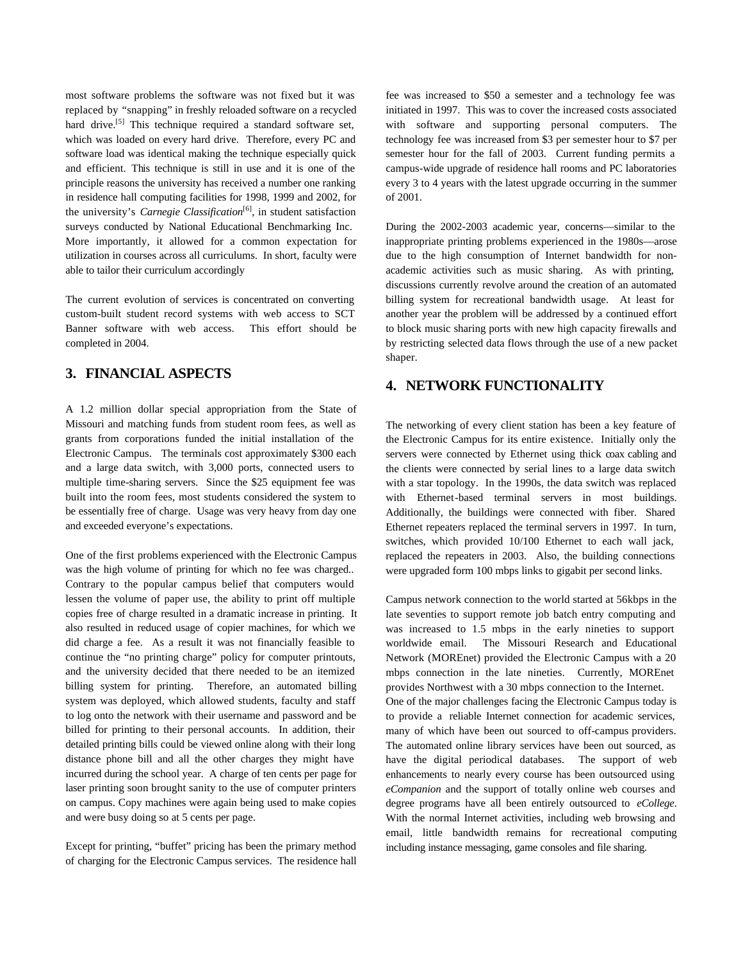most software problems the software was not fixed but it was replaced by "snapping" in freshly reloaded software on a recycled hard drive.<sup>[5]</sup> This technique required a standard software set, which was loaded on every hard drive. Therefore, every PC and software load was identical making the technique especially quick and efficient. This technique is still in use and it is one of the principle reasons the university has received a number one ranking in residence hall computing facilities for 1998, 1999 and 2002, for the university's *Carnegie Classification*<sup>[6]</sup>, in student satisfaction surveys conducted by National Educational Benchmarking Inc. More importantly, it allowed for a common expectation for utilization in courses across all curriculums. In short, faculty were able to tailor their curriculum accordingly

The current evolution of services is concentrated on converting custom-built student record systems with web access to SCT Banner software with web access. This effort should be completed in 2004.

## **3. FINANCIAL ASPECTS**

A 1.2 million dollar special appropriation from the State of Missouri and matching funds from student room fees, as well as grants from corporations funded the initial installation of the Electronic Campus. The terminals cost approximately \$300 each and a large data switch, with 3,000 ports, connected users to multiple time-sharing servers. Since the \$25 equipment fee was built into the room fees, most students considered the system to be essentially free of charge. Usage was very heavy from day one and exceeded everyone's expectations.

One of the first problems experienced with the Electronic Campus was the high volume of printing for which no fee was charged.. Contrary to the popular campus belief that computers would lessen the volume of paper use, the ability to print off multiple copies free of charge resulted in a dramatic increase in printing. It also resulted in reduced usage of copier machines, for which we did charge a fee. As a result it was not financially feasible to continue the "no printing charge" policy for computer printouts, and the university decided that there needed to be an itemized billing system for printing. Therefore, an automated billing system was deployed, which allowed students, faculty and staff to log onto the network with their username and password and be billed for printing to their personal accounts. In addition, their detailed printing bills could be viewed online along with their long distance phone bill and all the other charges they might have incurred during the school year. A charge of ten cents per page for laser printing soon brought sanity to the use of computer printers on campus. Copy machines were again being used to make copies and were busy doing so at 5 cents per page.

Except for printing, "buffet" pricing has been the primary method of charging for the Electronic Campus services. The residence hall

fee was increased to \$50 a semester and a technology fee was initiated in 1997. This was to cover the increased costs associated with software and supporting personal computers. The technology fee was increased from \$3 per semester hour to \$7 per semester hour for the fall of 2003. Current funding permits a campus-wide upgrade of residence hall rooms and PC laboratories every 3 to 4 years with the latest upgrade occurring in the summer of 2001.

During the 2002-2003 academic year, concerns—similar to the inappropriate printing problems experienced in the 1980s—arose due to the high consumption of Internet bandwidth for nonacademic activities such as music sharing. As with printing, discussions currently revolve around the creation of an automated billing system for recreational bandwidth usage. At least for another year the problem will be addressed by a continued effort to block music sharing ports with new high capacity firewalls and by restricting selected data flows through the use of a new packet shaper.

### **4. NETWORK FUNCTIONALITY**

The networking of every client station has been a key feature of the Electronic Campus for its entire existence. Initially only the servers were connected by Ethernet using thick coax cabling and the clients were connected by serial lines to a large data switch with a star topology. In the 1990s, the data switch was replaced with Ethernet-based terminal servers in most buildings. Additionally, the buildings were connected with fiber. Shared Ethernet repeaters replaced the terminal servers in 1997. In turn, switches, which provided 10/100 Ethernet to each wall jack, replaced the repeaters in 2003. Also, the building connections were upgraded form 100 mbps links to gigabit per second links.

Campus network connection to the world started at 56kbps in the late seventies to support remote job batch entry computing and was increased to 1.5 mbps in the early nineties to support worldwide email. The Missouri Research and Educational Network (MOREnet) provided the Electronic Campus with a 20 mbps connection in the late nineties. Currently, MOREnet provides Northwest with a 30 mbps connection to the Internet. One of the major challenges facing the Electronic Campus today is to provide a reliable Internet connection for academic services, many of which have been out sourced to off-campus providers. The automated online library services have been out sourced, as have the digital periodical databases. The support of web enhancements to nearly every course has been outsourced using *eCompanion* and the support of totally online web courses and degree programs have all been entirely outsourced to *eCollege*. With the normal Internet activities, including web browsing and email, little bandwidth remains for recreational computing including instance messaging, game consoles and file sharing.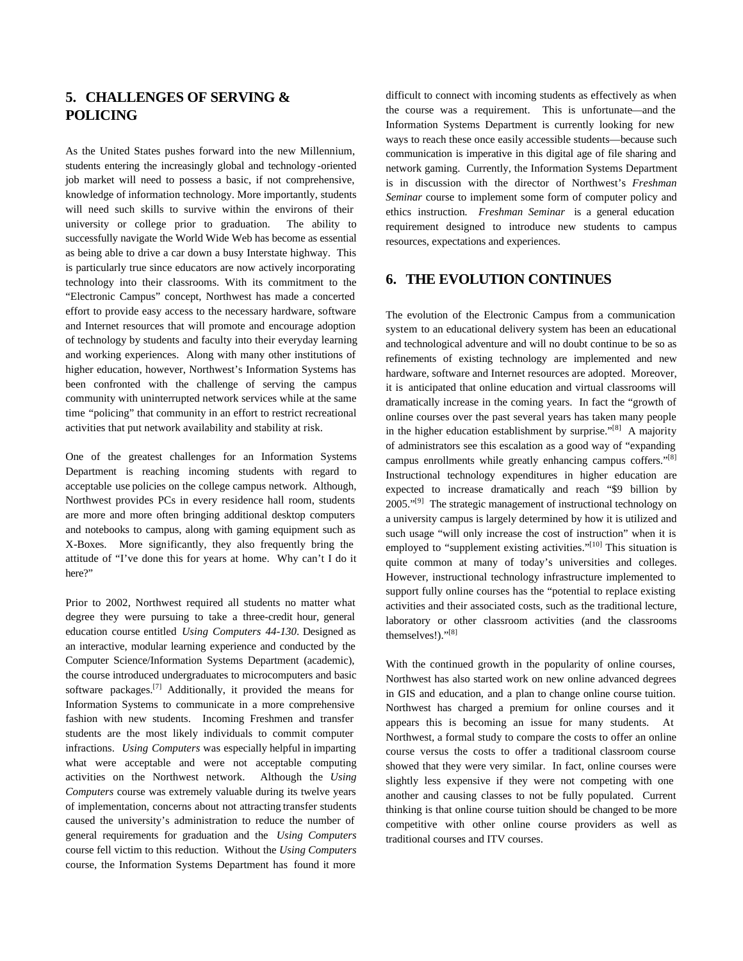## **5. CHALLENGES OF SERVING & POLICING**

As the United States pushes forward into the new Millennium, students entering the increasingly global and technology -oriented job market will need to possess a basic, if not comprehensive, knowledge of information technology. More importantly, students will need such skills to survive within the environs of their university or college prior to graduation. The ability to successfully navigate the World Wide Web has become as essential as being able to drive a car down a busy Interstate highway. This is particularly true since educators are now actively incorporating technology into their classrooms. With its commitment to the "Electronic Campus" concept, Northwest has made a concerted effort to provide easy access to the necessary hardware, software and Internet resources that will promote and encourage adoption of technology by students and faculty into their everyday learning and working experiences. Along with many other institutions of higher education, however, Northwest's Information Systems has been confronted with the challenge of serving the campus community with uninterrupted network services while at the same time "policing" that community in an effort to restrict recreational activities that put network availability and stability at risk.

One of the greatest challenges for an Information Systems Department is reaching incoming students with regard to acceptable use policies on the college campus network. Although, Northwest provides PCs in every residence hall room, students are more and more often bringing additional desktop computers and notebooks to campus, along with gaming equipment such as X-Boxes. More significantly, they also frequently bring the attitude of "I've done this for years at home. Why can't I do it here?"

Prior to 2002, Northwest required all students no matter what degree they were pursuing to take a three-credit hour, general education course entitled *Using Computers 44-130*. Designed as an interactive, modular learning experience and conducted by the Computer Science/Information Systems Department (academic), the course introduced undergraduates to microcomputers and basic software packages.[7] Additionally, it provided the means for Information Systems to communicate in a more comprehensive fashion with new students. Incoming Freshmen and transfer students are the most likely individuals to commit computer infractions. *Using Computers* was especially helpful in imparting what were acceptable and were not acceptable computing activities on the Northwest network. Although the *Using Computers* course was extremely valuable during its twelve years of implementation, concerns about not attracting transfer students caused the university's administration to reduce the number of general requirements for graduation and the *Using Computers* course fell victim to this reduction. Without the *Using Computers* course, the Information Systems Department has found it more

difficult to connect with incoming students as effectively as when the course was a requirement. This is unfortunate—and the Information Systems Department is currently looking for new ways to reach these once easily accessible students—because such communication is imperative in this digital age of file sharing and network gaming. Currently, the Information Systems Department is in discussion with the director of Northwest's *Freshman Seminar* course to implement some form of computer policy and ethics instruction*. Freshman Seminar* is a general education requirement designed to introduce new students to campus resources, expectations and experiences.

## **6. THE EVOLUTION CONTINUES**

The evolution of the Electronic Campus from a communication system to an educational delivery system has been an educational and technological adventure and will no doubt continue to be so as refinements of existing technology are implemented and new hardware, software and Internet resources are adopted. Moreover, it is anticipated that online education and virtual classrooms will dramatically increase in the coming years. In fact the "growth of online courses over the past several years has taken many people in the higher education establishment by surprise." $[8]$  A majority of administrators see this escalation as a good way of "expanding campus enrollments while greatly enhancing campus coffers."<sup>[8]</sup> Instructional technology expenditures in higher education are expected to increase dramatically and reach "\$9 billion by 2005."[9] The strategic management of instructional technology on a university campus is largely determined by how it is utilized and such usage "will only increase the cost of instruction" when it is employed to "supplement existing activities."<sup>[10]</sup> This situation is quite common at many of today's universities and colleges. However, instructional technology infrastructure implemented to support fully online courses has the "potential to replace existing activities and their associated costs, such as the traditional lecture, laboratory or other classroom activities (and the classrooms themselves!)."[8]

With the continued growth in the popularity of online courses, Northwest has also started work on new online advanced degrees in GIS and education, and a plan to change online course tuition. Northwest has charged a premium for online courses and it appears this is becoming an issue for many students. At Northwest, a formal study to compare the costs to offer an online course versus the costs to offer a traditional classroom course showed that they were very similar. In fact, online courses were slightly less expensive if they were not competing with one another and causing classes to not be fully populated. Current thinking is that online course tuition should be changed to be more competitive with other online course providers as well as traditional courses and ITV courses.